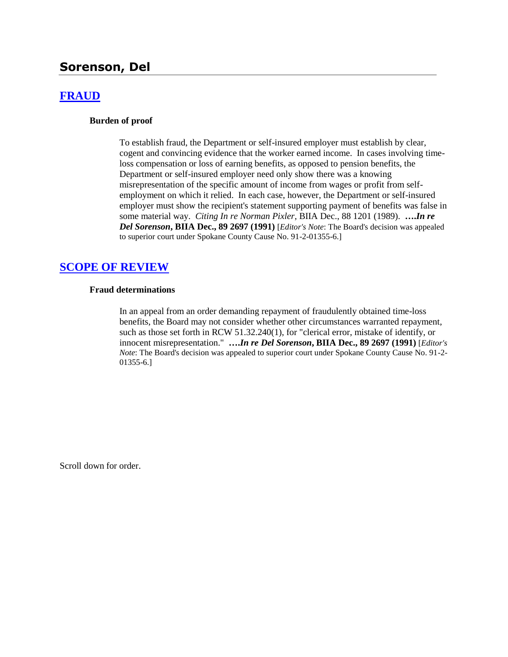# **Sorenson, Del**

# **[FRAUD](http://www.biia.wa.gov/SDSubjectIndex.html#FRAUD)**

#### **Burden of proof**

To establish fraud, the Department or self-insured employer must establish by clear, cogent and convincing evidence that the worker earned income. In cases involving timeloss compensation or loss of earning benefits, as opposed to pension benefits, the Department or self-insured employer need only show there was a knowing misrepresentation of the specific amount of income from wages or profit from selfemployment on which it relied. In each case, however, the Department or self-insured employer must show the recipient's statement supporting payment of benefits was false in some material way. *Citing In re Norman Pixler*, BIIA Dec., 88 1201 (1989). **….***In re Del Sorenson***, BIIA Dec., 89 2697 (1991)** [*Editor's Note*: The Board's decision was appealed to superior court under Spokane County Cause No. 91-2-01355-6.]

## **[SCOPE OF REVIEW](http://www.biia.wa.gov/SDSubjectIndex.html#SCOPE_OF_REVIEW)**

#### **Fraud determinations**

In an appeal from an order demanding repayment of fraudulently obtained time-loss benefits, the Board may not consider whether other circumstances warranted repayment, such as those set forth in RCW 51.32.240(1), for "clerical error, mistake of identify, or innocent misrepresentation." **….***In re Del Sorenson***, BIIA Dec., 89 2697 (1991)** [*Editor's Note*: The Board's decision was appealed to superior court under Spokane County Cause No. 91-2- 01355-6.]

Scroll down for order.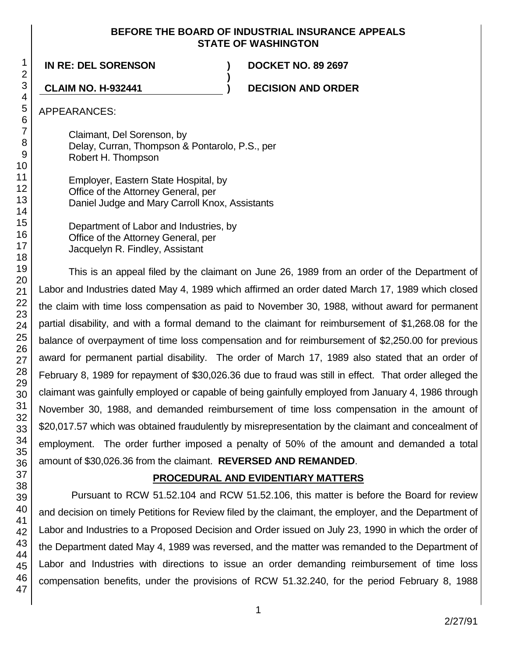## **BEFORE THE BOARD OF INDUSTRIAL INSURANCE APPEALS STATE OF WASHINGTON**

**)**

**IN RE: DEL SORENSON ) DOCKET NO. 89 2697**

**CLAIM NO. H-932441 ) DECISION AND ORDER**

APPEARANCES:

Claimant, Del Sorenson, by Delay, Curran, Thompson & Pontarolo, P.S., per Robert H. Thompson

Employer, Eastern State Hospital, by Office of the Attorney General, per Daniel Judge and Mary Carroll Knox, Assistants

Department of Labor and Industries, by Office of the Attorney General, per Jacquelyn R. Findley, Assistant

This is an appeal filed by the claimant on June 26, 1989 from an order of the Department of Labor and Industries dated May 4, 1989 which affirmed an order dated March 17, 1989 which closed the claim with time loss compensation as paid to November 30, 1988, without award for permanent partial disability, and with a formal demand to the claimant for reimbursement of \$1,268.08 for the balance of overpayment of time loss compensation and for reimbursement of \$2,250.00 for previous award for permanent partial disability. The order of March 17, 1989 also stated that an order of February 8, 1989 for repayment of \$30,026.36 due to fraud was still in effect. That order alleged the claimant was gainfully employed or capable of being gainfully employed from January 4, 1986 through November 30, 1988, and demanded reimbursement of time loss compensation in the amount of \$20,017.57 which was obtained fraudulently by misrepresentation by the claimant and concealment of employment. The order further imposed a penalty of 50% of the amount and demanded a total amount of \$30,026.36 from the claimant. **REVERSED AND REMANDED**.

# **PROCEDURAL AND EVIDENTIARY MATTERS**

Pursuant to RCW 51.52.104 and RCW 51.52.106, this matter is before the Board for review and decision on timely Petitions for Review filed by the claimant, the employer, and the Department of Labor and Industries to a Proposed Decision and Order issued on July 23, 1990 in which the order of the Department dated May 4, 1989 was reversed, and the matter was remanded to the Department of Labor and Industries with directions to issue an order demanding reimbursement of time loss compensation benefits, under the provisions of RCW 51.32.240, for the period February 8, 1988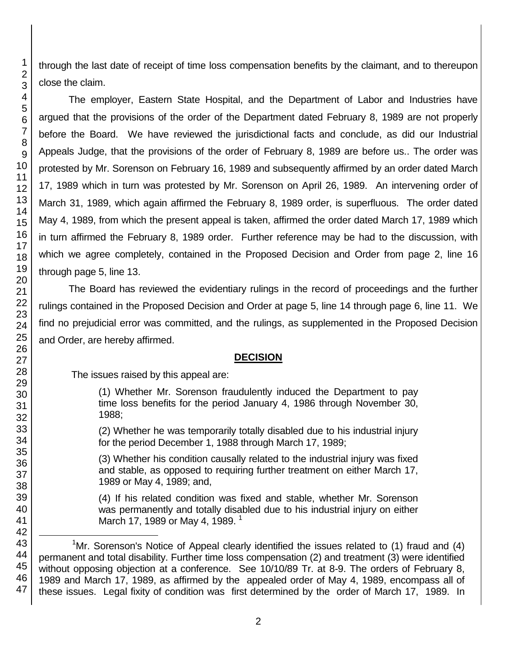through the last date of receipt of time loss compensation benefits by the claimant, and to thereupon close the claim.

The employer, Eastern State Hospital, and the Department of Labor and Industries have argued that the provisions of the order of the Department dated February 8, 1989 are not properly before the Board. We have reviewed the jurisdictional facts and conclude, as did our Industrial Appeals Judge, that the provisions of the order of February 8, 1989 are before us.. The order was protested by Mr. Sorenson on February 16, 1989 and subsequently affirmed by an order dated March 17, 1989 which in turn was protested by Mr. Sorenson on April 26, 1989. An intervening order of March 31, 1989, which again affirmed the February 8, 1989 order, is superfluous. The order dated May 4, 1989, from which the present appeal is taken, affirmed the order dated March 17, 1989 which in turn affirmed the February 8, 1989 order. Further reference may be had to the discussion, with which we agree completely, contained in the Proposed Decision and Order from page 2, line 16 through page 5, line 13.

The Board has reviewed the evidentiary rulings in the record of proceedings and the further rulings contained in the Proposed Decision and Order at page 5, line 14 through page 6, line 11. We find no prejudicial error was committed, and the rulings, as supplemented in the Proposed Decision and Order, are hereby affirmed.

# **DECISION**

The issues raised by this appeal are:

(1) Whether Mr. Sorenson fraudulently induced the Department to pay time loss benefits for the period January 4, 1986 through November 30, 1988;

(2) Whether he was temporarily totally disabled due to his industrial injury for the period December 1, 1988 through March 17, 1989;

(3) Whether his condition causally related to the industrial injury was fixed and stable, as opposed to requiring further treatment on either March 17, 1989 or May 4, 1989; and,

(4) If his related condition was fixed and stable, whether Mr. Sorenson was permanently and totally disabled due to his industrial injury on either March 17, 1989 or May 4, 1989.<sup>1</sup>

<sup>44</sup> 45 46 47 <sup>1</sup>Mr. Sorenson's Notice of Appeal clearly identified the issues related to (1) fraud and (4) permanent and total disability. Further time loss compensation (2) and treatment (3) were identified without opposing objection at a conference. See 10/10/89 Tr. at 8-9. The orders of February 8, 1989 and March 17, 1989, as affirmed by the appealed order of May 4, 1989, encompass all of these issues. Legal fixity of condition was first determined by the order of March 17, 1989. In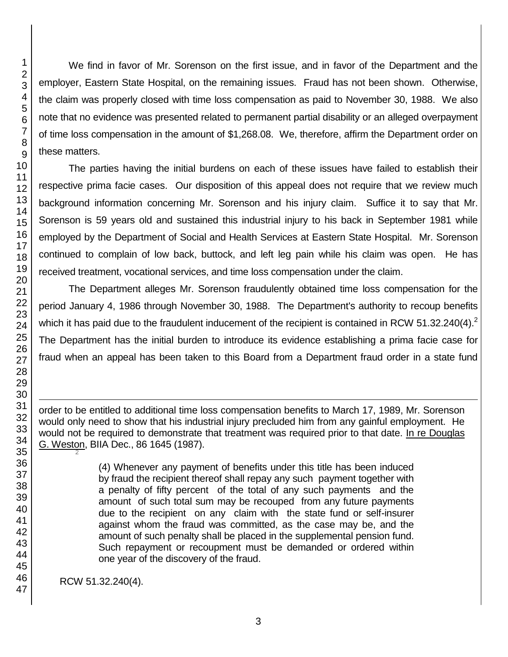We find in favor of Mr. Sorenson on the first issue, and in favor of the Department and the employer, Eastern State Hospital, on the remaining issues. Fraud has not been shown. Otherwise, the claim was properly closed with time loss compensation as paid to November 30, 1988. We also note that no evidence was presented related to permanent partial disability or an alleged overpayment of time loss compensation in the amount of \$1,268.08. We, therefore, affirm the Department order on these matters.

The parties having the initial burdens on each of these issues have failed to establish their respective prima facie cases. Our disposition of this appeal does not require that we review much background information concerning Mr. Sorenson and his injury claim. Suffice it to say that Mr. Sorenson is 59 years old and sustained this industrial injury to his back in September 1981 while employed by the Department of Social and Health Services at Eastern State Hospital. Mr. Sorenson continued to complain of low back, buttock, and left leg pain while his claim was open. He has received treatment, vocational services, and time loss compensation under the claim.

The Department alleges Mr. Sorenson fraudulently obtained time loss compensation for the period January 4, 1986 through November 30, 1988. The Department's authority to recoup benefits which it has paid due to the fraudulent inducement of the recipient is contained in RCW 51.32.240(4).<sup>2</sup> The Department has the initial burden to introduce its evidence establishing a prima facie case for fraud when an appeal has been taken to this Board from a Department fraud order in a state fund

order to be entitled to additional time loss compensation benefits to March 17, 1989, Mr. Sorenson would only need to show that his industrial injury precluded him from any gainful employment. He would not be required to demonstrate that treatment was required prior to that date. In re Douglas G. Weston, BIIA Dec., 86 1645 (1987). 

> (4) Whenever any payment of benefits under this title has been induced by fraud the recipient thereof shall repay any such payment together with a penalty of fifty percent of the total of any such payments and the amount of such total sum may be recouped from any future payments due to the recipient on any claim with the state fund or self-insurer against whom the fraud was committed, as the case may be, and the amount of such penalty shall be placed in the supplemental pension fund. Such repayment or recoupment must be demanded or ordered within one year of the discovery of the fraud.

RCW 51.32.240(4).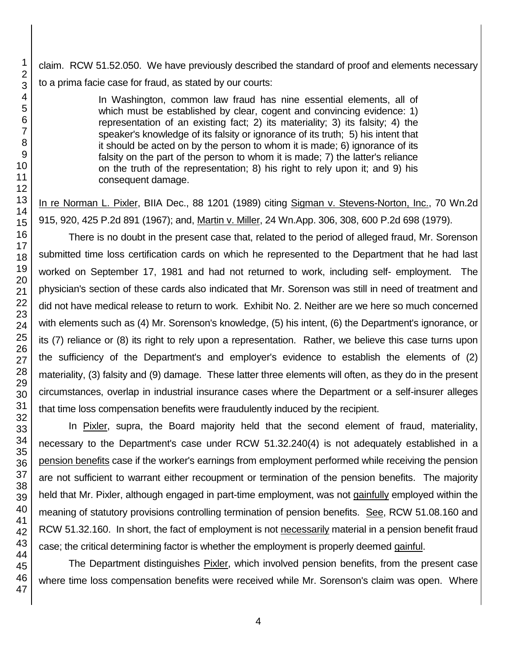claim. RCW 51.52.050. We have previously described the standard of proof and elements necessary to a prima facie case for fraud, as stated by our courts:

> In Washington, common law fraud has nine essential elements, all of which must be established by clear, cogent and convincing evidence: 1) representation of an existing fact; 2) its materiality; 3) its falsity; 4) the speaker's knowledge of its falsity or ignorance of its truth; 5) his intent that it should be acted on by the person to whom it is made; 6) ignorance of its falsity on the part of the person to whom it is made; 7) the latter's reliance on the truth of the representation; 8) his right to rely upon it; and 9) his consequent damage.

In re Norman L. Pixler, BIIA Dec., 88 1201 (1989) citing Sigman v. Stevens-Norton, Inc., 70 Wn.2d 915, 920, 425 P.2d 891 (1967); and, Martin v. Miller, 24 Wn.App. 306, 308, 600 P.2d 698 (1979).

There is no doubt in the present case that, related to the period of alleged fraud, Mr. Sorenson submitted time loss certification cards on which he represented to the Department that he had last worked on September 17, 1981 and had not returned to work, including self- employment. The physician's section of these cards also indicated that Mr. Sorenson was still in need of treatment and did not have medical release to return to work. Exhibit No. 2. Neither are we here so much concerned with elements such as (4) Mr. Sorenson's knowledge, (5) his intent, (6) the Department's ignorance, or its (7) reliance or (8) its right to rely upon a representation. Rather, we believe this case turns upon the sufficiency of the Department's and employer's evidence to establish the elements of (2) materiality, (3) falsity and (9) damage. These latter three elements will often, as they do in the present circumstances, overlap in industrial insurance cases where the Department or a self-insurer alleges that time loss compensation benefits were fraudulently induced by the recipient.

In Pixler, supra, the Board majority held that the second element of fraud, materiality, necessary to the Department's case under RCW 51.32.240(4) is not adequately established in a pension benefits case if the worker's earnings from employment performed while receiving the pension are not sufficient to warrant either recoupment or termination of the pension benefits. The majority held that Mr. Pixler, although engaged in part-time employment, was not gainfully employed within the meaning of statutory provisions controlling termination of pension benefits. See, RCW 51.08.160 and RCW 51.32.160. In short, the fact of employment is not necessarily material in a pension benefit fraud case; the critical determining factor is whether the employment is properly deemed gainful.

The Department distinguishes Pixler, which involved pension benefits, from the present case where time loss compensation benefits were received while Mr. Sorenson's claim was open. Where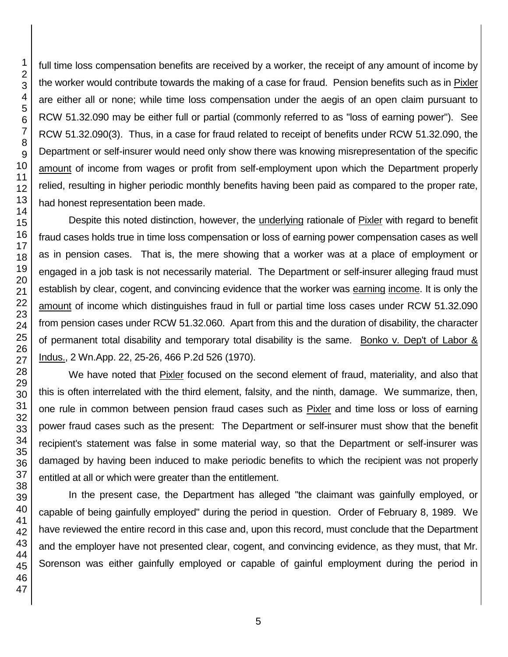full time loss compensation benefits are received by a worker, the receipt of any amount of income by the worker would contribute towards the making of a case for fraud. Pension benefits such as in Pixler are either all or none; while time loss compensation under the aegis of an open claim pursuant to RCW 51.32.090 may be either full or partial (commonly referred to as "loss of earning power"). See RCW 51.32.090(3). Thus, in a case for fraud related to receipt of benefits under RCW 51.32.090, the Department or self-insurer would need only show there was knowing misrepresentation of the specific amount of income from wages or profit from self-employment upon which the Department properly relied, resulting in higher periodic monthly benefits having been paid as compared to the proper rate, had honest representation been made.

Despite this noted distinction, however, the underlying rationale of Pixler with regard to benefit fraud cases holds true in time loss compensation or loss of earning power compensation cases as well as in pension cases. That is, the mere showing that a worker was at a place of employment or engaged in a job task is not necessarily material. The Department or self-insurer alleging fraud must establish by clear, cogent, and convincing evidence that the worker was earning income. It is only the amount of income which distinguishes fraud in full or partial time loss cases under RCW 51.32.090 from pension cases under RCW 51.32.060. Apart from this and the duration of disability, the character of permanent total disability and temporary total disability is the same. Bonko v. Dep't of Labor & Indus., 2 Wn.App. 22, 25-26, 466 P.2d 526 (1970).

We have noted that Pixler focused on the second element of fraud, materiality, and also that this is often interrelated with the third element, falsity, and the ninth, damage. We summarize, then, one rule in common between pension fraud cases such as Pixler and time loss or loss of earning power fraud cases such as the present: The Department or self-insurer must show that the benefit recipient's statement was false in some material way, so that the Department or self-insurer was damaged by having been induced to make periodic benefits to which the recipient was not properly entitled at all or which were greater than the entitlement.

In the present case, the Department has alleged "the claimant was gainfully employed, or capable of being gainfully employed" during the period in question. Order of February 8, 1989. We have reviewed the entire record in this case and, upon this record, must conclude that the Department and the employer have not presented clear, cogent, and convincing evidence, as they must, that Mr. Sorenson was either gainfully employed or capable of gainful employment during the period in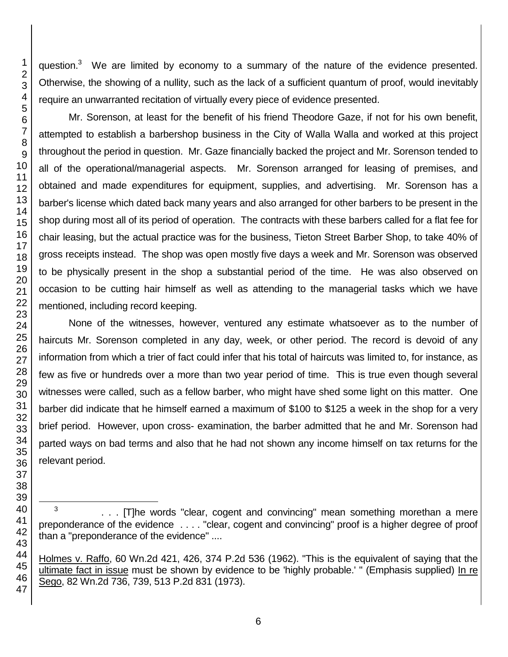question. We are limited by economy to a summary of the nature of the evidence presented. Otherwise, the showing of a nullity, such as the lack of a sufficient quantum of proof, would inevitably require an unwarranted recitation of virtually every piece of evidence presented.

Mr. Sorenson, at least for the benefit of his friend Theodore Gaze, if not for his own benefit, attempted to establish a barbershop business in the City of Walla Walla and worked at this project throughout the period in question. Mr. Gaze financially backed the project and Mr. Sorenson tended to all of the operational/managerial aspects. Mr. Sorenson arranged for leasing of premises, and obtained and made expenditures for equipment, supplies, and advertising. Mr. Sorenson has a barber's license which dated back many years and also arranged for other barbers to be present in the shop during most all of its period of operation. The contracts with these barbers called for a flat fee for chair leasing, but the actual practice was for the business, Tieton Street Barber Shop, to take 40% of gross receipts instead. The shop was open mostly five days a week and Mr. Sorenson was observed to be physically present in the shop a substantial period of the time. He was also observed on occasion to be cutting hair himself as well as attending to the managerial tasks which we have mentioned, including record keeping.

None of the witnesses, however, ventured any estimate whatsoever as to the number of haircuts Mr. Sorenson completed in any day, week, or other period. The record is devoid of any information from which a trier of fact could infer that his total of haircuts was limited to, for instance, as few as five or hundreds over a more than two year period of time. This is true even though several witnesses were called, such as a fellow barber, who might have shed some light on this matter. One barber did indicate that he himself earned a maximum of \$100 to \$125 a week in the shop for a very brief period. However, upon cross- examination, the barber admitted that he and Mr. Sorenson had parted ways on bad terms and also that he had not shown any income himself on tax returns for the relevant period.

l

3 . . . [T]he words "clear, cogent and convincing" mean something morethan a mere preponderance of the evidence . . . . "clear, cogent and convincing" proof is a higher degree of proof than a "preponderance of the evidence" ....

Holmes v. Raffo, 60 Wn.2d 421, 426, 374 P.2d 536 (1962). "This is the equivalent of saying that the ultimate fact in issue must be shown by evidence to be 'highly probable.' " (Emphasis supplied) In re Sego, 82 Wn.2d 736, 739, 513 P.2d 831 (1973).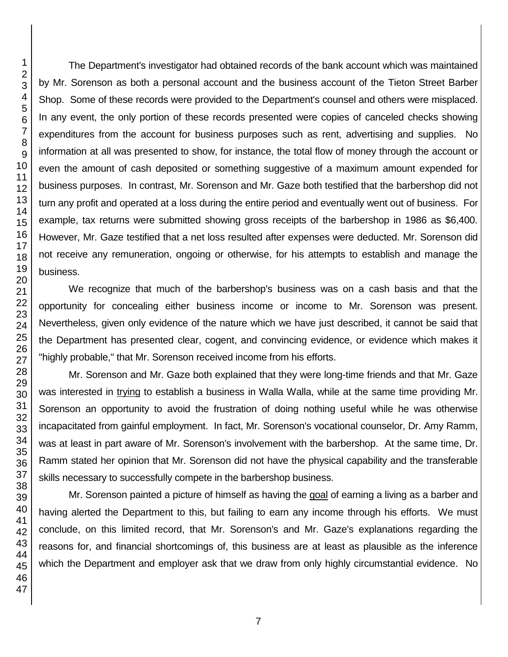The Department's investigator had obtained records of the bank account which was maintained by Mr. Sorenson as both a personal account and the business account of the Tieton Street Barber Shop. Some of these records were provided to the Department's counsel and others were misplaced. In any event, the only portion of these records presented were copies of canceled checks showing expenditures from the account for business purposes such as rent, advertising and supplies. No information at all was presented to show, for instance, the total flow of money through the account or even the amount of cash deposited or something suggestive of a maximum amount expended for business purposes. In contrast, Mr. Sorenson and Mr. Gaze both testified that the barbershop did not turn any profit and operated at a loss during the entire period and eventually went out of business. For example, tax returns were submitted showing gross receipts of the barbershop in 1986 as \$6,400. However, Mr. Gaze testified that a net loss resulted after expenses were deducted. Mr. Sorenson did not receive any remuneration, ongoing or otherwise, for his attempts to establish and manage the business.

We recognize that much of the barbershop's business was on a cash basis and that the opportunity for concealing either business income or income to Mr. Sorenson was present. Nevertheless, given only evidence of the nature which we have just described, it cannot be said that the Department has presented clear, cogent, and convincing evidence, or evidence which makes it "highly probable," that Mr. Sorenson received income from his efforts.

Mr. Sorenson and Mr. Gaze both explained that they were long-time friends and that Mr. Gaze was interested in trying to establish a business in Walla Walla, while at the same time providing Mr. Sorenson an opportunity to avoid the frustration of doing nothing useful while he was otherwise incapacitated from gainful employment. In fact, Mr. Sorenson's vocational counselor, Dr. Amy Ramm, was at least in part aware of Mr. Sorenson's involvement with the barbershop. At the same time, Dr. Ramm stated her opinion that Mr. Sorenson did not have the physical capability and the transferable skills necessary to successfully compete in the barbershop business.

Mr. Sorenson painted a picture of himself as having the goal of earning a living as a barber and having alerted the Department to this, but failing to earn any income through his efforts. We must conclude, on this limited record, that Mr. Sorenson's and Mr. Gaze's explanations regarding the reasons for, and financial shortcomings of, this business are at least as plausible as the inference which the Department and employer ask that we draw from only highly circumstantial evidence. No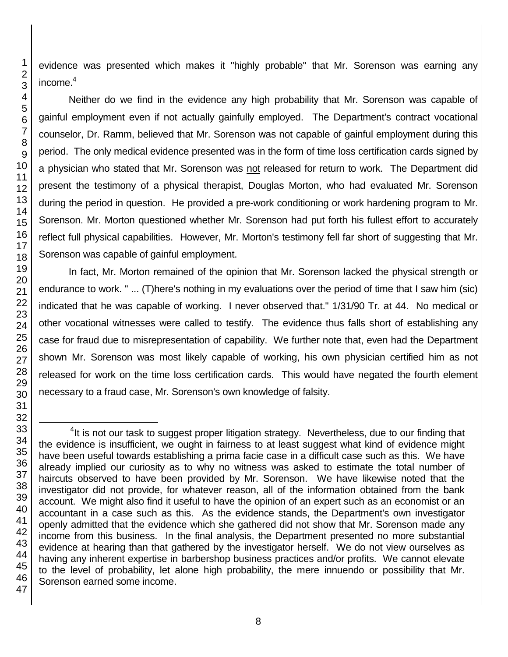evidence was presented which makes it "highly probable" that Mr. Sorenson was earning any

Neither do we find in the evidence any high probability that Mr. Sorenson was capable of gainful employment even if not actually gainfully employed. The Department's contract vocational counselor, Dr. Ramm, believed that Mr. Sorenson was not capable of gainful employment during this period. The only medical evidence presented was in the form of time loss certification cards signed by a physician who stated that Mr. Sorenson was not released for return to work. The Department did present the testimony of a physical therapist, Douglas Morton, who had evaluated Mr. Sorenson during the period in question. He provided a pre-work conditioning or work hardening program to Mr. Sorenson. Mr. Morton questioned whether Mr. Sorenson had put forth his fullest effort to accurately reflect full physical capabilities. However, Mr. Morton's testimony fell far short of suggesting that Mr. Sorenson was capable of gainful employment.

In fact, Mr. Morton remained of the opinion that Mr. Sorenson lacked the physical strength or endurance to work. " ... (T)here's nothing in my evaluations over the period of time that I saw him (sic) indicated that he was capable of working. I never observed that." 1/31/90 Tr. at 44. No medical or other vocational witnesses were called to testify. The evidence thus falls short of establishing any case for fraud due to misrepresentation of capability. We further note that, even had the Department shown Mr. Sorenson was most likely capable of working, his own physician certified him as not released for work on the time loss certification cards. This would have negated the fourth element necessary to a fraud case, Mr. Sorenson's own knowledge of falsity.

<sup>&</sup>lt;sup>4</sup>It is not our task to suggest proper litigation strategy. Nevertheless, due to our finding that the evidence is insufficient, we ought in fairness to at least suggest what kind of evidence might have been useful towards establishing a prima facie case in a difficult case such as this. We have already implied our curiosity as to why no witness was asked to estimate the total number of haircuts observed to have been provided by Mr. Sorenson. We have likewise noted that the investigator did not provide, for whatever reason, all of the information obtained from the bank account. We might also find it useful to have the opinion of an expert such as an economist or an accountant in a case such as this. As the evidence stands, the Department's own investigator openly admitted that the evidence which she gathered did not show that Mr. Sorenson made any income from this business. In the final analysis, the Department presented no more substantial evidence at hearing than that gathered by the investigator herself. We do not view ourselves as having any inherent expertise in barbershop business practices and/or profits. We cannot elevate to the level of probability, let alone high probability, the mere innuendo or possibility that Mr. Sorenson earned some income.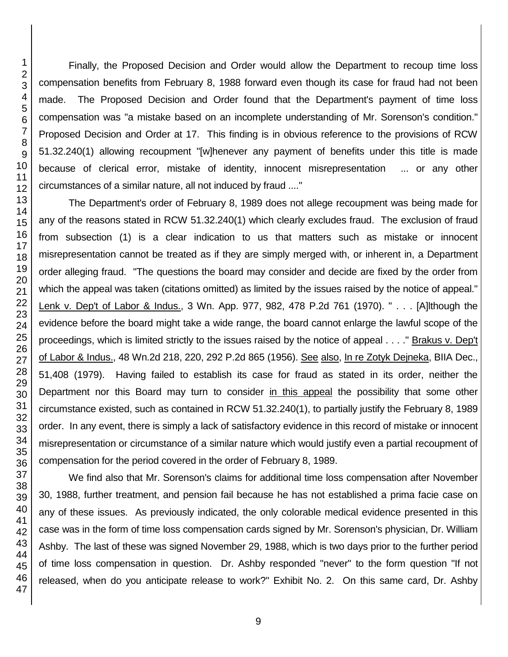Finally, the Proposed Decision and Order would allow the Department to recoup time loss compensation benefits from February 8, 1988 forward even though its case for fraud had not been made. The Proposed Decision and Order found that the Department's payment of time loss compensation was "a mistake based on an incomplete understanding of Mr. Sorenson's condition." Proposed Decision and Order at 17. This finding is in obvious reference to the provisions of RCW 51.32.240(1) allowing recoupment "[w]henever any payment of benefits under this title is made because of clerical error, mistake of identity, innocent misrepresentation ... or any other circumstances of a similar nature, all not induced by fraud ...."

The Department's order of February 8, 1989 does not allege recoupment was being made for any of the reasons stated in RCW 51.32.240(1) which clearly excludes fraud. The exclusion of fraud from subsection (1) is a clear indication to us that matters such as mistake or innocent misrepresentation cannot be treated as if they are simply merged with, or inherent in, a Department order alleging fraud. "The questions the board may consider and decide are fixed by the order from which the appeal was taken (citations omitted) as limited by the issues raised by the notice of appeal." Lenk v. Dep't of Labor & Indus., 3 Wn. App. 977, 982, 478 P.2d 761 (1970). " . . . [A]lthough the evidence before the board might take a wide range, the board cannot enlarge the lawful scope of the proceedings, which is limited strictly to the issues raised by the notice of appeal . . . ." Brakus v. Dep't of Labor & Indus., 48 Wn.2d 218, 220, 292 P.2d 865 (1956). See also, In re Zotyk Dejneka, BIIA Dec., 51,408 (1979). Having failed to establish its case for fraud as stated in its order, neither the Department nor this Board may turn to consider in this appeal the possibility that some other circumstance existed, such as contained in RCW 51.32.240(1), to partially justify the February 8, 1989 order. In any event, there is simply a lack of satisfactory evidence in this record of mistake or innocent misrepresentation or circumstance of a similar nature which would justify even a partial recoupment of compensation for the period covered in the order of February 8, 1989.

We find also that Mr. Sorenson's claims for additional time loss compensation after November 30, 1988, further treatment, and pension fail because he has not established a prima facie case on any of these issues. As previously indicated, the only colorable medical evidence presented in this case was in the form of time loss compensation cards signed by Mr. Sorenson's physician, Dr. William Ashby. The last of these was signed November 29, 1988, which is two days prior to the further period of time loss compensation in question. Dr. Ashby responded "never" to the form question "If not released, when do you anticipate release to work?" Exhibit No. 2. On this same card, Dr. Ashby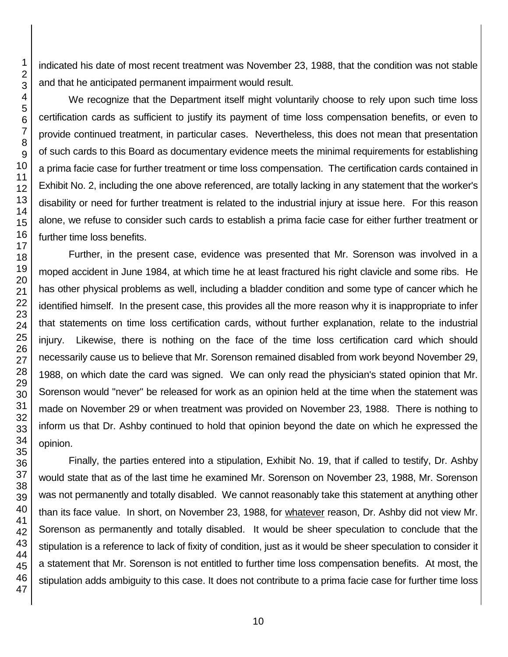indicated his date of most recent treatment was November 23, 1988, that the condition was not stable and that he anticipated permanent impairment would result.

We recognize that the Department itself might voluntarily choose to rely upon such time loss certification cards as sufficient to justify its payment of time loss compensation benefits, or even to provide continued treatment, in particular cases. Nevertheless, this does not mean that presentation of such cards to this Board as documentary evidence meets the minimal requirements for establishing a prima facie case for further treatment or time loss compensation. The certification cards contained in Exhibit No. 2, including the one above referenced, are totally lacking in any statement that the worker's disability or need for further treatment is related to the industrial injury at issue here. For this reason alone, we refuse to consider such cards to establish a prima facie case for either further treatment or further time loss benefits.

Further, in the present case, evidence was presented that Mr. Sorenson was involved in a moped accident in June 1984, at which time he at least fractured his right clavicle and some ribs. He has other physical problems as well, including a bladder condition and some type of cancer which he identified himself. In the present case, this provides all the more reason why it is inappropriate to infer that statements on time loss certification cards, without further explanation, relate to the industrial injury. Likewise, there is nothing on the face of the time loss certification card which should necessarily cause us to believe that Mr. Sorenson remained disabled from work beyond November 29, 1988, on which date the card was signed. We can only read the physician's stated opinion that Mr. Sorenson would "never" be released for work as an opinion held at the time when the statement was made on November 29 or when treatment was provided on November 23, 1988. There is nothing to inform us that Dr. Ashby continued to hold that opinion beyond the date on which he expressed the opinion.

Finally, the parties entered into a stipulation, Exhibit No. 19, that if called to testify, Dr. Ashby would state that as of the last time he examined Mr. Sorenson on November 23, 1988, Mr. Sorenson was not permanently and totally disabled. We cannot reasonably take this statement at anything other than its face value. In short, on November 23, 1988, for whatever reason, Dr. Ashby did not view Mr. Sorenson as permanently and totally disabled. It would be sheer speculation to conclude that the stipulation is a reference to lack of fixity of condition, just as it would be sheer speculation to consider it a statement that Mr. Sorenson is not entitled to further time loss compensation benefits. At most, the stipulation adds ambiguity to this case. It does not contribute to a prima facie case for further time loss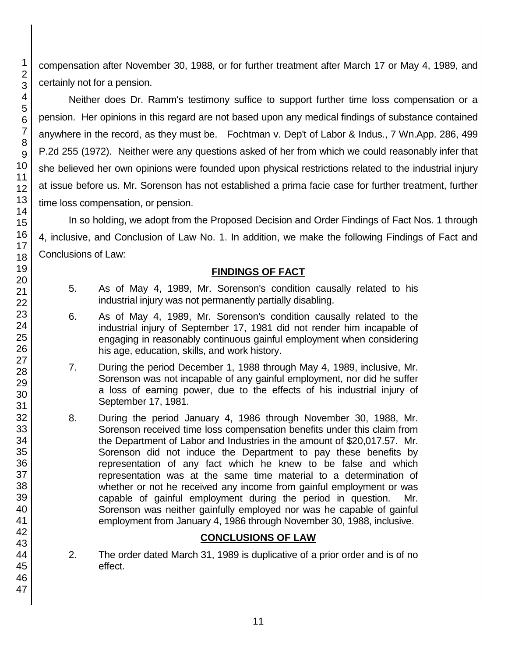compensation after November 30, 1988, or for further treatment after March 17 or May 4, 1989, and certainly not for a pension.

Neither does Dr. Ramm's testimony suffice to support further time loss compensation or a pension. Her opinions in this regard are not based upon any medical findings of substance contained anywhere in the record, as they must be. Fochtman v. Dep't of Labor & Indus., 7 Wn.App. 286, 499 P.2d 255 (1972). Neither were any questions asked of her from which we could reasonably infer that she believed her own opinions were founded upon physical restrictions related to the industrial injury at issue before us. Mr. Sorenson has not established a prima facie case for further treatment, further time loss compensation, or pension.

In so holding, we adopt from the Proposed Decision and Order Findings of Fact Nos. 1 through 4, inclusive, and Conclusion of Law No. 1. In addition, we make the following Findings of Fact and Conclusions of Law:

## **FINDINGS OF FACT**

- 5. As of May 4, 1989, Mr. Sorenson's condition causally related to his industrial injury was not permanently partially disabling.
- 6. As of May 4, 1989, Mr. Sorenson's condition causally related to the industrial injury of September 17, 1981 did not render him incapable of engaging in reasonably continuous gainful employment when considering his age, education, skills, and work history.
- 7. During the period December 1, 1988 through May 4, 1989, inclusive, Mr. Sorenson was not incapable of any gainful employment, nor did he suffer a loss of earning power, due to the effects of his industrial injury of September 17, 1981.
- 8. During the period January 4, 1986 through November 30, 1988, Mr. Sorenson received time loss compensation benefits under this claim from the Department of Labor and Industries in the amount of \$20,017.57. Mr. Sorenson did not induce the Department to pay these benefits by representation of any fact which he knew to be false and which representation was at the same time material to a determination of whether or not he received any income from gainful employment or was capable of gainful employment during the period in question. Mr. Sorenson was neither gainfully employed nor was he capable of gainful employment from January 4, 1986 through November 30, 1988, inclusive.

# **CONCLUSIONS OF LAW**

2. The order dated March 31, 1989 is duplicative of a prior order and is of no effect.